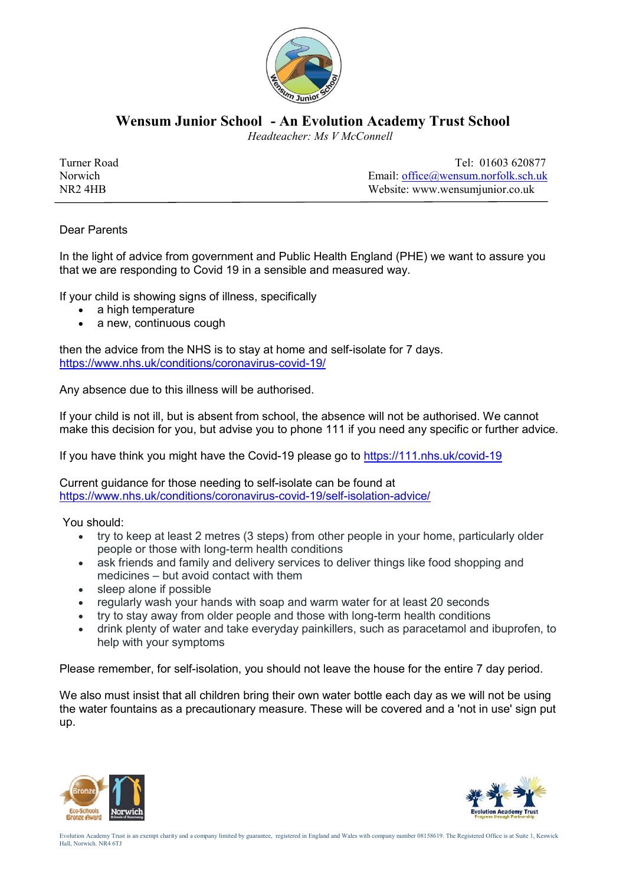

**Wensum Junior School - An Evolution Academy Trust School**

 *Headteacher: Ms V McConnell*

| Turner Road         | Tel: 01603 620877                                    |
|---------------------|------------------------------------------------------|
| Norwich             | Email: $of\text{fice}\omega$ we nsum nor folk sch uk |
| NR <sub>2</sub> 4HB | Website: www.wensumjunior.co.uk                      |

## Dear Parents

In the light of advice from government and Public Health England (PHE) we want to assure you that we are responding to Covid 19 in a sensible and measured way.

If your child is showing signs of illness, specifically

- a high temperature
- a new, continuous cough

then the advice from the NHS is to stay at home and self-isolate for 7 days. https://www.nhs.uk/conditions/coronavirus-covid-19/

Any absence due to this illness will be authorised.

If your child is not ill, but is absent from school, the absence will not be authorised. We cannot make this decision for you, but advise you to phone 111 if you need any specific or further advice.

If you have think you might have the Covid-19 please go to https://111.nhs.uk/covid-19

Current guidance for those needing to self-isolate can be found at https://www.nhs.uk/conditions/coronavirus-covid-19/self-isolation-advice/

You should:

- try to keep at least 2 metres (3 steps) from other people in your home, particularly older people or those with long-term health conditions
- ask friends and family and delivery services to deliver things like food shopping and medicines – but avoid contact with them
- sleep alone if possible
- regularly wash your hands with soap and warm water for at least 20 seconds
- try to stay away from older people and those with long-term health conditions
- drink plenty of water and take everyday painkillers, such as paracetamol and ibuprofen, to help with your symptoms

Please remember, for self-isolation, you should not leave the house for the entire 7 day period.

We also must insist that all children bring their own water bottle each day as we will not be using the water fountains as a precautionary measure. These will be covered and a 'not in use' sign put up.